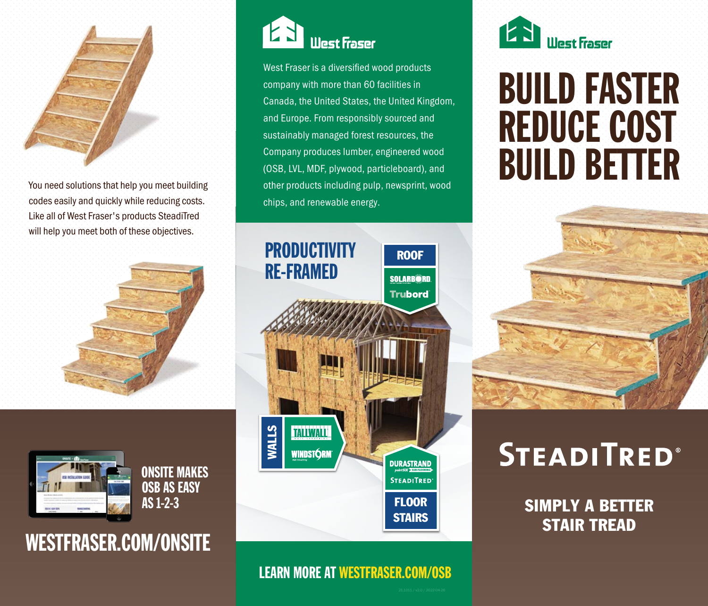

You need solutions that help you meet building codes easily and quickly while reducing costs. Like all of West Fraser's products SteadiTred will help you meet both of these objectives.





ONSITE MAKES OSB AS EASY AS 1-2-3

## WESTFRASER.COM/ONSITE



West Fraser is a diversified wood products company with more than 60 facilities in Canada, the United States, the United Kingdom, and Europe. From responsibly sourced and sustainably managed forest resources, the Company produces lumber, engineered wood (OSB, LVL, MDF, plywood, particleboard), and other products including pulp, newsprint, wood chips, and renewable energy.



### LEARN MORE AT WESTFRASER.COM/OSB



# BUILD FASTER REDUCE COST BUILD BETTER



## **STEADITRED®**

SIMPLY A BETTER STAIR TREAD